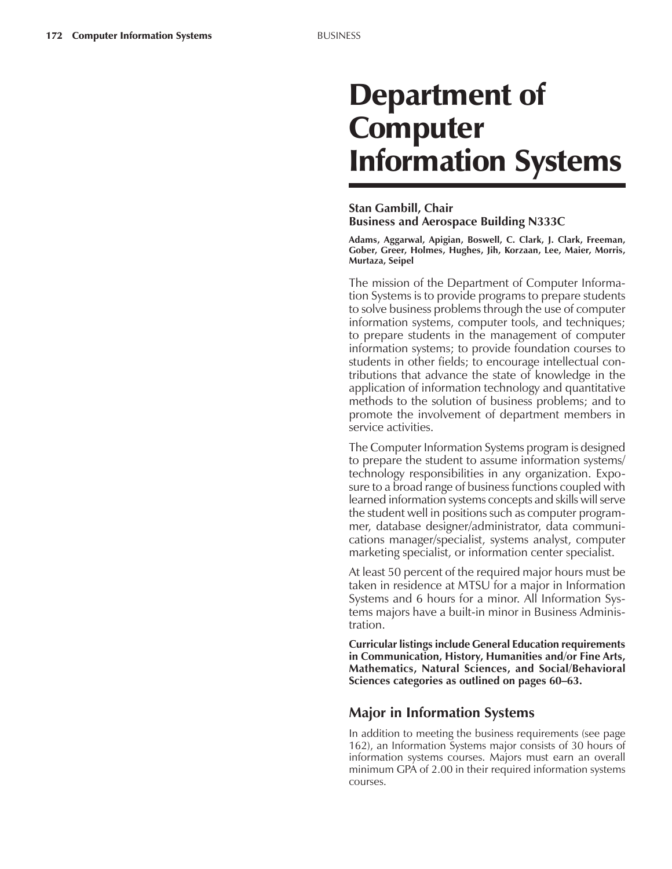# Department of **Computer** Information Systems

### **Stan Gambill, Chair Business and Aerospace Building N333C**

**Adams, Aggarwal, Apigian, Boswell, C. Clark, J. Clark, Freeman, Gober, Greer, Holmes, Hughes, Jih, Korzaan, Lee, Maier, Morris, Murtaza, Seipel**

The mission of the Department of Computer Information Systems is to provide programs to prepare students to solve business problems through the use of computer information systems, computer tools, and techniques; to prepare students in the management of computer information systems; to provide foundation courses to students in other fields; to encourage intellectual contributions that advance the state of knowledge in the application of information technology and quantitative methods to the solution of business problems; and to promote the involvement of department members in service activities.

The Computer Information Systems program is designed to prepare the student to assume information systems/ technology responsibilities in any organization. Exposure to a broad range of business functions coupled with learned information systems concepts and skills will serve the student well in positions such as computer programmer, database designer/administrator, data communications manager/specialist, systems analyst, computer marketing specialist, or information center specialist.

At least 50 percent of the required major hours must be taken in residence at MTSU for a major in Information Systems and 6 hours for a minor. All Information Systems majors have a built-in minor in Business Administration.

**Curricular listings include General Education requirements in Communication, History, Humanities and/or Fine Arts, Mathematics, Natural Sciences, and Social/Behavioral Sciences categories as outlined on pages 60–63.** 

## **Major in Information Systems**

In addition to meeting the business requirements (see page 162), an Information Systems major consists of 30 hours of information systems courses. Majors must earn an overall minimum GPA of 2.00 in their required information systems courses.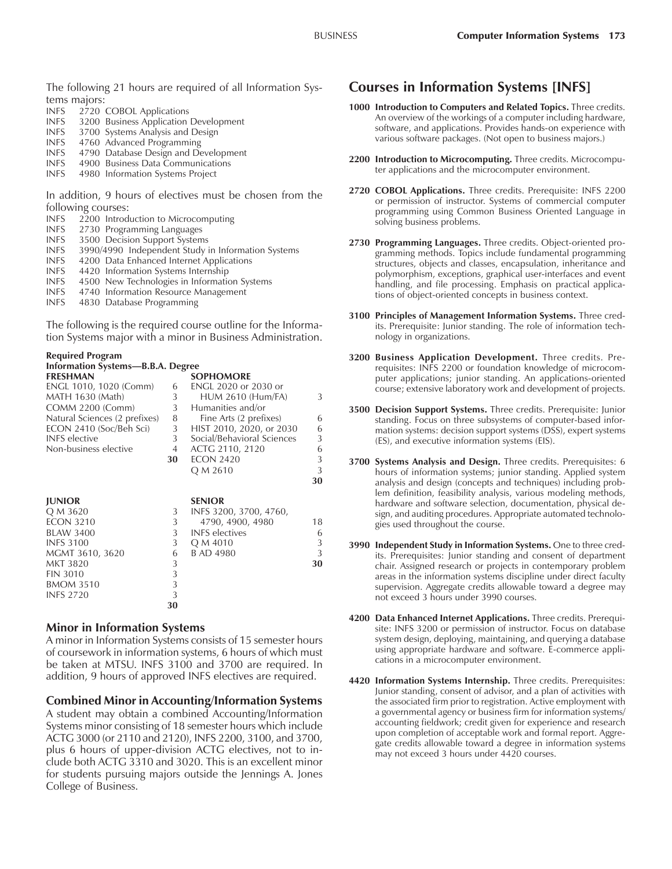The following 21 hours are required of all Information Systems majors:

- INFS 2720 COBOL Applications
- INFS 3200 Business Application Development
- INFS 3700 Systems Analysis and Design
- INFS 4760 Advanced Programming
- **INFS** 4790 Database Design and Development<br>**INFS** 4900 Business Data Communications
- 4900 Business Data Communications
- INFS 4980 Information Systems Project

In addition, 9 hours of electives must be chosen from the following courses:

- INFS 2200 Introduction to Microcomputing<br>INFS 2730 Programming Languages
- 2730 Programming Languages
- INFS 3500 Decision Support Systems
- INFS 3990/4990 Independent Study in Information Systems
- INFS 4200 Data Enhanced Internet Applications
- INFS 4420 Information Systems Internship
- INFS 4500 New Technologies in Information Systems
- INFS 4740 Information Resource Management
- INFS 4830 Database Programming

The following is the required course outline for the Information Systems major with a minor in Business Administration.

| <b>Required Program</b>                  |                |                            |    |
|------------------------------------------|----------------|----------------------------|----|
| <b>Information Systems-B.B.A. Degree</b> |                |                            |    |
| <b>FRESHMAN</b>                          |                | <b>SOPHOMORE</b>           |    |
| ENGL 1010, 1020 (Comm)                   | 6              | ENGL 2020 or 2030 or       |    |
| MATH 1630 (Math)                         | 3              | <b>HUM 2610 (Hum/FA)</b>   | 3  |
| <b>COMM 2200 (Comm)</b>                  | 3 <sup>1</sup> | Humanities and/or          |    |
| Natural Sciences (2 prefixes)            | 8              | Fine Arts (2 prefixes)     | 6  |
| ECON 2410 (Soc/Beh Sci)                  | 3              | HIST 2010, 2020, or 2030   | 6  |
| <b>INFS</b> elective                     | 3 <sup>1</sup> | Social/Behavioral Sciences | 3  |
| Non-business elective                    | 4              | ACTG 2110, 2120            | 6  |
|                                          | 30             | <b>ECON 2420</b>           | 3  |
|                                          |                | Q M 2610                   | 3  |
|                                          |                |                            | 30 |
|                                          |                |                            |    |
| <b>JUNIOR</b>                            |                | <b>SENIOR</b>              |    |
| Q M 3620                                 | 3              | INFS 3200, 3700, 4760,     |    |
| <b>ECON 3210</b>                         | 3              | 4790, 4900, 4980           | 18 |
| <b>BLAW 3400</b>                         | 3              | <b>INFS</b> electives      | 6  |
| <b>INFS 3100</b>                         | 3              | Q M 4010                   | 3  |
| MGMT 3610, 3620                          | 6              | <b>B AD 4980</b>           | 3  |
| <b>MKT 3820</b>                          | 3              |                            | 30 |
| <b>FIN 3010</b>                          | 3              |                            |    |
| <b>BMOM 3510</b>                         | $\overline{3}$ |                            |    |
| <b>INFS 2720</b>                         | 3              |                            |    |
|                                          | 30             |                            |    |
|                                          |                |                            |    |

#### **Minor in Information Systems**

A minor in Information Systems consists of 15 semester hours of coursework in information systems, 6 hours of which must be taken at MTSU. INFS 3100 and 3700 are required. In addition, 9 hours of approved INFS electives are required.

#### **Combined Minor in Accounting/Information Systems**

A student may obtain a combined Accounting/Information Systems minor consisting of 18 semester hours which include ACTG 3000 (or 2110 and 2120), INFS 2200, 3100, and 3700, plus 6 hours of upper-division ACTG electives, not to include both ACTG 3310 and 3020. This is an excellent minor for students pursuing majors outside the Jennings A. Jones College of Business.

## **Courses in Information Systems [INFS]**

- **1000 Introduction to Computers and Related Topics.** Three credits. An overview of the workings of a computer including hardware, software, and applications. Provides hands-on experience with various software packages. (Not open to business majors.)
- **2200 Introduction to Microcomputing.** Three credits. Microcomputer applications and the microcomputer environment.
- **2720 COBOL Applications.** Three credits. Prerequisite: INFS 2200 or permission of instructor. Systems of commercial computer programming using Common Business Oriented Language in solving business problems.
- **2730 Programming Languages.** Three credits. Object-oriented programming methods. Topics include fundamental programming structures, objects and classes, encapsulation, inheritance and polymorphism, exceptions, graphical user-interfaces and event handling, and file processing. Emphasis on practical applications of object-oriented concepts in business context.
- **3100 Principles of Management Information Systems.** Three credits. Prerequisite: Junior standing. The role of information technology in organizations.
- **3200 Business Application Development.** Three credits. Prerequisites: INFS 2200 or foundation knowledge of microcomputer applications; junior standing. An applications-oriented course; extensive laboratory work and development of projects.
- **3500 Decision Support Systems.** Three credits. Prerequisite: Junior standing. Focus on three subsystems of computer-based information systems: decision support systems (DSS), expert systems (ES), and executive information systems (EIS).
- **3700 Systems Analysis and Design.** Three credits. Prerequisites: 6 hours of information systems; junior standing. Applied system analysis and design (concepts and techniques) including problem definition, feasibility analysis, various modeling methods, hardware and software selection, documentation, physical design, and auditing procedures. Appropriate automated technologies used throughout the course.
- **3990 Independent Study in Information Systems.** One to three credits. Prerequisites: Junior standing and consent of department chair. Assigned research or projects in contemporary problem areas in the information systems discipline under direct faculty supervision. Aggregate credits allowable toward a degree may not exceed 3 hours under 3990 courses.
- **4200 Data Enhanced Internet Applications.** Three credits. Prerequisite: INFS 3200 or permission of instructor. Focus on database system design, deploying, maintaining, and querying a database using appropriate hardware and software. E-commerce applications in a microcomputer environment.
- **4420 Information Systems Internship.** Three credits. Prerequisites: Junior standing, consent of advisor, and a plan of activities with the associated firm prior to registration. Active employment with a governmental agency or business firm for information systems/ accounting fieldwork; credit given for experience and research upon completion of acceptable work and formal report. Aggregate credits allowable toward a degree in information systems may not exceed 3 hours under 4420 courses.